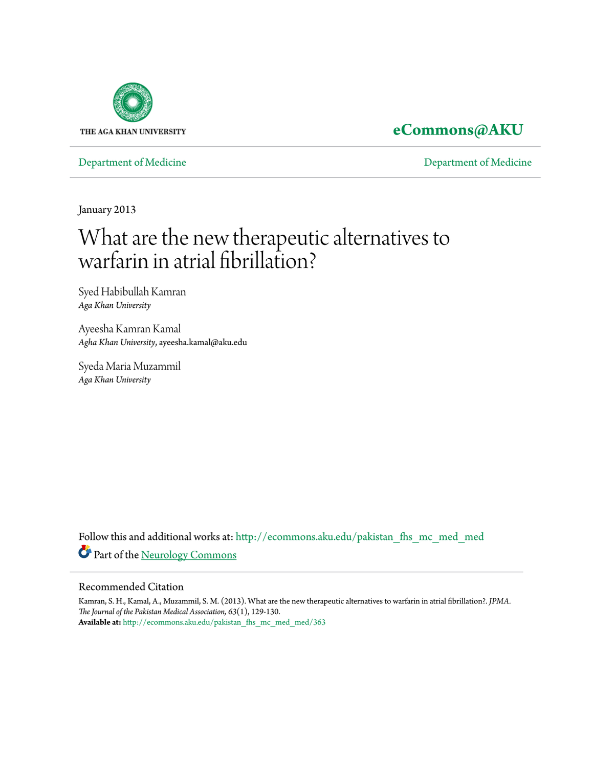

# **[eCommons@AKU](http://ecommons.aku.edu?utm_source=ecommons.aku.edu%2Fpakistan_fhs_mc_med_med%2F363&utm_medium=PDF&utm_campaign=PDFCoverPages)**

[Department of Medicine](http://ecommons.aku.edu/pakistan_fhs_mc_med_med?utm_source=ecommons.aku.edu%2Fpakistan_fhs_mc_med_med%2F363&utm_medium=PDF&utm_campaign=PDFCoverPages) [Department of Medicine](http://ecommons.aku.edu/pakistan_fhs_mc_med?utm_source=ecommons.aku.edu%2Fpakistan_fhs_mc_med_med%2F363&utm_medium=PDF&utm_campaign=PDFCoverPages)

January 2013

# What are the new therapeutic alternatives to warfarin in atrial fibrillation?

Syed Habibullah Kamran *Aga Khan University*

Ayeesha Kamran Kamal *Agha Khan University*, ayeesha.kamal@aku.edu

Syeda Maria Muzammil *Aga Khan University*

Follow this and additional works at: [http://ecommons.aku.edu/pakistan\\_fhs\\_mc\\_med\\_med](http://ecommons.aku.edu/pakistan_fhs_mc_med_med?utm_source=ecommons.aku.edu%2Fpakistan_fhs_mc_med_med%2F363&utm_medium=PDF&utm_campaign=PDFCoverPages) Part of the [Neurology Commons](http://network.bepress.com/hgg/discipline/692?utm_source=ecommons.aku.edu%2Fpakistan_fhs_mc_med_med%2F363&utm_medium=PDF&utm_campaign=PDFCoverPages)

#### Recommended Citation

Kamran, S. H., Kamal, A., Muzammil, S. M. (2013). What are the new therapeutic alternatives to warfarin in atrial fibrillation?. *JPMA. The Journal of the Pakistan Medical Association, 63*(1), 129-130. **Available at:** [http://ecommons.aku.edu/pakistan\\_fhs\\_mc\\_med\\_med/363](http://ecommons.aku.edu/pakistan_fhs_mc_med_med/363)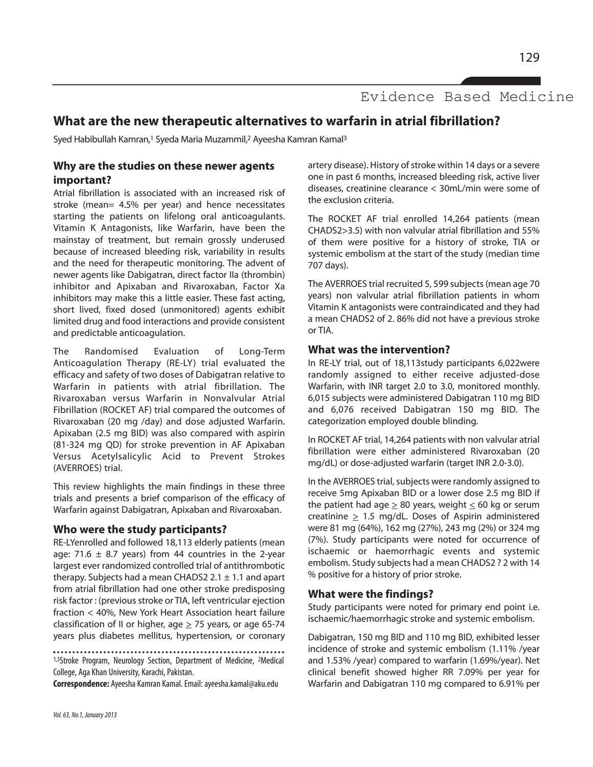Evidence Based Medicine

# **What are the new therapeutic alternatives to warfarin in atrial fibrillation?**

Syed Habibullah Kamran,<sup>1</sup> Syeda Maria Muzammil,<sup>2</sup> Ayeesha Kamran Kamal<sup>3</sup>

#### **Why are the studies on these newer agents important?**

Atrial fibrillation is associated with an increased risk of stroke (mean= 4.5% per year) and hence necessitates starting the patients on lifelong oral anticoagulants. Vitamin K Antagonists, like Warfarin, have been the mainstay of treatment, but remain grossly underused because of increased bleeding risk, variability in results and the need for therapeutic monitoring. The advent of newer agents like Dabigatran, direct factor IIa (thrombin) inhibitor and Apixaban and Rivaroxaban, Factor Xa inhibitors may make this a little easier. These fast acting, short lived, fixed dosed (unmonitored) agents exhibit limited drug and food interactions and provide consistent and predictable anticoagulation.

The Randomised Evaluation of Long-Term Anticoagulation Therapy (RE-LY) trial evaluated the efficacy and safety of two doses of Dabigatran relative to Warfarin in patients with atrial fibrillation. The Rivaroxaban versus Warfarin in Nonvalvular Atrial Fibrillation (ROCKET AF) trial compared the outcomes of Rivaroxaban (20 mg /day) and dose adjusted Warfarin. Apixaban (2.5 mg BID) was also compared with aspirin (81-324 mg QD) for stroke prevention in AF Apixaban Versus Acetylsalicylic Acid to Prevent Strokes (AVERROES) trial.

This review highlights the main findings in these three trials and presents a brief comparison of the efficacy of Warfarin against Dabigatran, Apixaban and Rivaroxaban.

#### **Who were the study participants?**

RE-LYenrolled and followed 18,113 elderly patients (mean age: 71.6  $\pm$  8.7 years) from 44 countries in the 2-year largest ever randomized controlled trial of antithrombotic therapy. Subjects had a mean CHADS2 2.1  $\pm$  1.1 and apart from atrial fibrillation had one other stroke predisposing risk factor : (previous stroke or TIA, left ventricular ejection fraction < 40%, New York Heart Association heart failure classification of II or higher, age  $\geq$  75 years, or age 65-74 years plus diabetes mellitus, hypertension, or coronary

1,3Stroke Program, Neurology Section, Department of Medicine, <sup>2</sup>Medical College, Aga Khan University, Karachi, Pakistan.

**Correspondence:** Ayeesha Kamran Kamal. Email: ayeesha.kamal@aku.edu

artery disease). History of stroke within 14 days or a severe one in past 6 months, increased bleeding risk, active liver diseases, creatinine clearance < 30mL/min were some of the exclusion criteria.

The ROCKET AF trial enrolled 14,264 patients (mean CHADS2>3.5) with non valvular atrial fibrillation and 55% of them were positive for a history of stroke, TIA or systemic embolism at the start of the study (median time 707 days).

The AVERROES trial recruited 5, 599 subjects (mean age 70 years) non valvular atrial fibrillation patients in whom Vitamin K antagonists were contraindicated and they had a mean CHADS2 of 2. 86% did not have a previous stroke or TIA.

#### **What was the intervention?**

In RE-LY trial, out of 18,113study participants 6,022were randomly assigned to either receive adjusted-dose Warfarin, with INR target 2.0 to 3.0, monitored monthly. 6,015 subjects were administered Dabigatran 110 mg BID and 6,076 received Dabigatran 150 mg BID. The categorization employed double blinding.

In ROCKET AF trial, 14,264 patients with non valvular atrial fibrillation were either administered Rivaroxaban (20 mg/dL) or dose-adjusted warfarin (target INR 2.0-3.0).

In the AVERROES trial, subjects were randomly assigned to receive 5mg Apixaban BID or a lower dose 2.5 mg BID if the patient had age  $\geq 80$  years, weight  $\leq 60$  kg or serum creatinine > 1.5 mg/dL. Doses of Aspirin administered were 81 mg (64%), 162 mg (27%), 243 mg (2%) or 324 mg (7%). Study participants were noted for occurrence of ischaemic or haemorrhagic events and systemic embolism. Study subjects had a mean CHADS2 ? 2 with 14 % positive for a history of prior stroke.

#### **What were the findings?**

Study participants were noted for primary end point i.e. ischaemic/haemorrhagic stroke and systemic embolism.

Dabigatran, 150 mg BID and 110 mg BID, exhibited lesser incidence of stroke and systemic embolism (1.11% /year and 1.53% /year) compared to warfarin (1.69%/year). Net clinical benefit showed higher RR 7.09% per year for Warfarin and Dabigatran 110 mg compared to 6.91% per